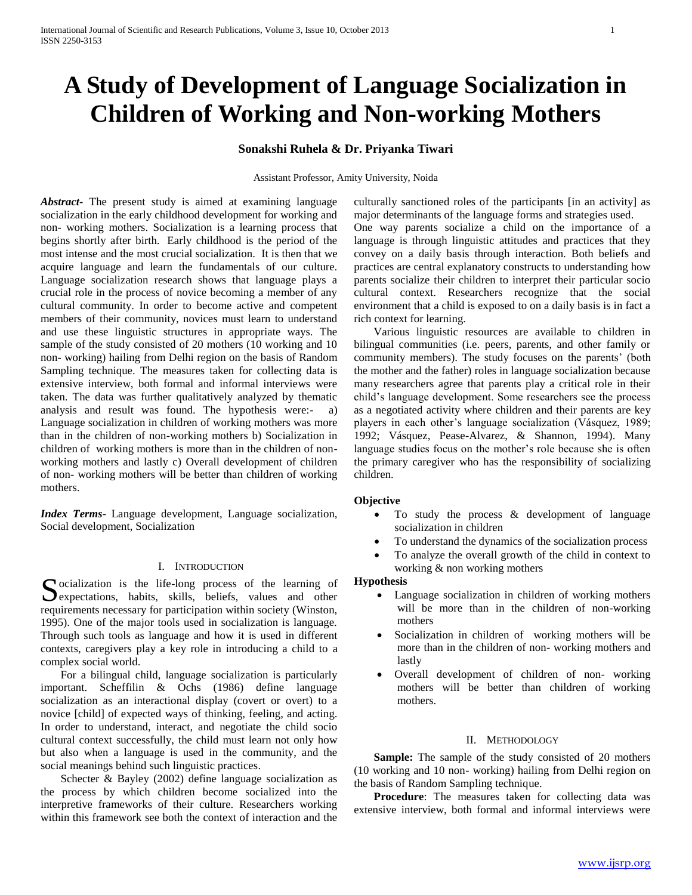# **A Study of Development of Language Socialization in Children of Working and Non-working Mothers**

## **Sonakshi Ruhela & Dr. Priyanka Tiwari**

Assistant Professor, Amity University, Noida

*Abstract***-** The present study is aimed at examining language socialization in the early childhood development for working and non- working mothers. Socialization is a learning process that begins shortly after birth. Early childhood is the period of the most intense and the most crucial socialization. It is then that we acquire language and learn the fundamentals of our culture. Language socialization research shows that language plays a crucial role in the process of novice becoming a member of any cultural community. In order to become active and competent members of their community, novices must learn to understand and use these linguistic structures in appropriate ways. The sample of the study consisted of 20 mothers (10 working and 10 non- working) hailing from Delhi region on the basis of Random Sampling technique. The measures taken for collecting data is extensive interview, both formal and informal interviews were taken. The data was further qualitatively analyzed by thematic analysis and result was found. The hypothesis were:- a) Language socialization in children of working mothers was more than in the children of non-working mothers b) Socialization in children of working mothers is more than in the children of nonworking mothers and lastly c) Overall development of children of non- working mothers will be better than children of working mothers.

*Index Terms*- Language development, Language socialization, Social development, Socialization

#### I. INTRODUCTION

Socialization is the life-long process of the learning of expectations, habits, skills, beliefs, values and other expectations, habits, skills, beliefs, values and other requirements necessary for participation within society (Winston, 1995). One of the major tools used in socialization is language. Through such tools as language and how it is used in different contexts, caregivers play a key role in introducing a child to a complex social world.

 For a bilingual child, language socialization is particularly important. Scheffilin & Ochs (1986) define language socialization as an interactional display (covert or overt) to a novice [child] of expected ways of thinking, feeling, and acting. In order to understand, interact, and negotiate the child socio cultural context successfully, the child must learn not only how but also when a language is used in the community, and the social meanings behind such linguistic practices.

 Schecter & Bayley (2002) define language socialization as the process by which children become socialized into the interpretive frameworks of their culture. Researchers working within this framework see both the context of interaction and the

culturally sanctioned roles of the participants [in an activity] as major determinants of the language forms and strategies used. One way parents socialize a child on the importance of a language is through linguistic attitudes and practices that they convey on a daily basis through interaction. Both beliefs and practices are central explanatory constructs to understanding how parents socialize their children to interpret their particular socio cultural context. Researchers recognize that the social environment that a child is exposed to on a daily basis is in fact a rich context for learning.

 Various linguistic resources are available to children in bilingual communities (i.e. peers, parents, and other family or community members). The study focuses on the parents' (both the mother and the father) roles in language socialization because many researchers agree that parents play a critical role in their child's language development. Some researchers see the process as a negotiated activity where children and their parents are key players in each other's language socialization (Vásquez, 1989; 1992; Vásquez, Pease-Alvarez, & Shannon, 1994). Many language studies focus on the mother's role because she is often the primary caregiver who has the responsibility of socializing children.

#### **Objective**

- To study the process & development of language socialization in children
- To understand the dynamics of the socialization process
- To analyze the overall growth of the child in context to working & non working mothers

#### **Hypothesis**

- Language socialization in children of working mothers will be more than in the children of non-working mothers
- Socialization in children of working mothers will be more than in the children of non- working mothers and lastly
- Overall development of children of non- working mothers will be better than children of working mothers.

## II. METHODOLOGY

**Sample:** The sample of the study consisted of 20 mothers (10 working and 10 non- working) hailing from Delhi region on the basis of Random Sampling technique.

**Procedure**: The measures taken for collecting data was extensive interview, both formal and informal interviews were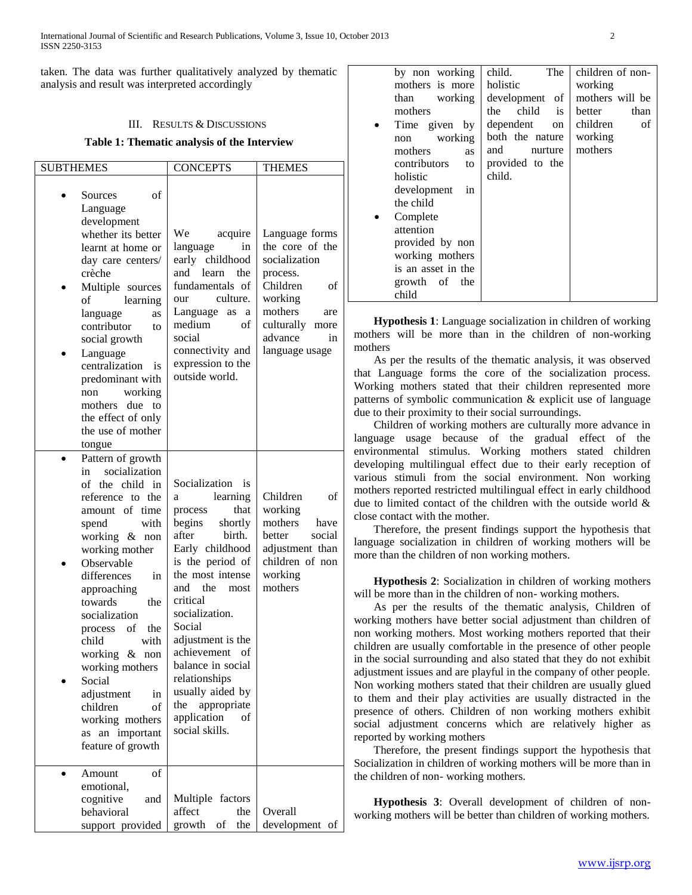taken. The data was further qualitatively analyzed by thematic analysis and result was interpreted accordingly

## III. RESULTS & DISCUSSIONS

#### **Table 1: Thematic analysis of the Interview**

| <b>SUBTHEMES</b>                                                                                                                                                                                                                                                                                                                                                                                                                      | <b>CONCEPTS</b>                                                                                                                                                                                                                                                                                                                                                                        | <b>THEMES</b>                                                                                                                                                          |
|---------------------------------------------------------------------------------------------------------------------------------------------------------------------------------------------------------------------------------------------------------------------------------------------------------------------------------------------------------------------------------------------------------------------------------------|----------------------------------------------------------------------------------------------------------------------------------------------------------------------------------------------------------------------------------------------------------------------------------------------------------------------------------------------------------------------------------------|------------------------------------------------------------------------------------------------------------------------------------------------------------------------|
| οf<br>Sources<br>Language<br>development<br>whether its better<br>learnt at home or<br>day care centers/<br>crèche<br>Multiple sources<br>of<br>learning<br>language<br>as<br>contributor<br>to<br>social growth<br>Language<br>centralization<br>is<br>predominant with<br>working<br>non<br>mothers due to<br>the effect of only<br>the use of mother<br>tongue                                                                     | We<br>acquire<br>language<br>in<br>early childhood<br>and<br>learn<br>the<br>fundamentals of<br>culture.<br>our<br>Language<br>as a<br>medium<br>of<br>social<br>connectivity and<br>expression to the<br>outside world.                                                                                                                                                               | Language forms<br>the core of the<br>socialization<br>process.<br>Children<br>of<br>working<br>mothers<br>are<br>culturally<br>more<br>advance<br>in<br>language usage |
| Pattern of growth<br>socialization<br>in<br>of the child in<br>reference to the<br>amount of time<br>with<br>spend<br>working & non<br>working mother<br>Observable<br>differences<br>in<br>approaching<br>towards<br>the<br>socialization<br>of<br>the<br>process<br>child<br>with<br>working &<br>non<br>working mothers<br>Social<br>adjustment<br>in<br>children<br>οf<br>working mothers<br>as an important<br>feature of growth | Socialization<br>is<br>learning<br>a<br>that<br>process<br>begins<br>shortly<br>after<br>birth.<br>Early childhood<br>is the period of<br>the most intense<br>and the<br>most<br>critical<br>socialization.<br>Social<br>adjustment is the<br>achievement<br>οf<br>balance in social<br>relationships<br>usually aided by<br>the<br>appropriate<br>application<br>of<br>social skills. | Children<br>οf<br>working<br>mothers<br>have<br>better<br>social<br>adjustment than<br>children of non<br>working<br>mothers                                           |
| of<br>Amount<br>emotional,<br>cognitive<br>and<br>behavioral<br>support provided                                                                                                                                                                                                                                                                                                                                                      | Multiple<br>factors<br>affect<br>the<br>growth<br>of<br>the                                                                                                                                                                                                                                                                                                                            | Overall<br>development of                                                                                                                                              |

| by non working     | child.<br>The             | children of non- |
|--------------------|---------------------------|------------------|
| mothers is more    | holistic                  | working          |
| working<br>than    | development of            | mothers will be  |
| mothers            | child<br>the<br><i>is</i> | than<br>better   |
| Time given by      | dependent<br>on           | children<br>of   |
| working<br>non     | both the nature           | working          |
| mothers<br>as      | and<br>nurture            | mothers          |
| contributors<br>to | provided to the           |                  |
| holistic           | child.                    |                  |
| development<br>in  |                           |                  |
| the child          |                           |                  |
| Complete           |                           |                  |
| attention          |                           |                  |
| provided by non    |                           |                  |
| working mothers    |                           |                  |
| is an asset in the |                           |                  |
| growth of the      |                           |                  |
| child              |                           |                  |

 **Hypothesis 1**: Language socialization in children of working mothers will be more than in the children of non-working mothers

 As per the results of the thematic analysis, it was observed that Language forms the core of the socialization process. Working mothers stated that their children represented more patterns of symbolic communication & explicit use of language due to their proximity to their social surroundings.

 Children of working mothers are culturally more advance in language usage because of the gradual effect of the environmental stimulus. Working mothers stated children developing multilingual effect due to their early reception of various stimuli from the social environment. Non working mothers reported restricted multilingual effect in early childhood due to limited contact of the children with the outside world & close contact with the mother.

 Therefore, the present findings support the hypothesis that language socialization in children of working mothers will be more than the children of non working mothers.

 **Hypothesis 2**: Socialization in children of working mothers will be more than in the children of non-working mothers.

 As per the results of the thematic analysis, Children of working mothers have better social adjustment than children of non working mothers. Most working mothers reported that their children are usually comfortable in the presence of other people in the social surrounding and also stated that they do not exhibit adjustment issues and are playful in the company of other people. Non working mothers stated that their children are usually glued to them and their play activities are usually distracted in the presence of others. Children of non working mothers exhibit social adjustment concerns which are relatively higher as reported by working mothers

 Therefore, the present findings support the hypothesis that Socialization in children of working mothers will be more than in the children of non- working mothers.

 **Hypothesis 3**: Overall development of children of nonworking mothers will be better than children of working mothers.